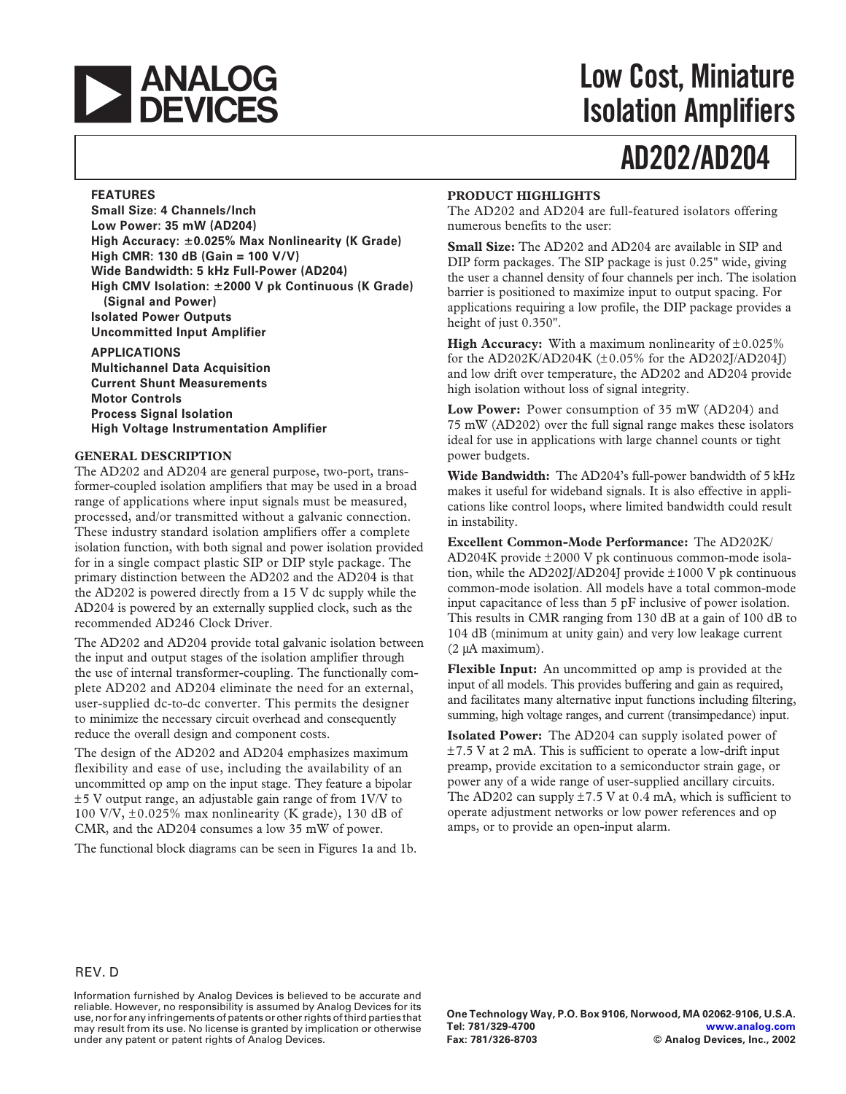

## **Low Cost, Miniature Isolation Amplifiers**

# **AD202/AD204**

### **FEATURES**

**Small Size: 4 Channels/lnch Low Power: 35 mW (AD204) High Accuracy: 0.025% Max Nonlinearity (K Grade) High CMR: 130 dB (Gain = 100 V/V) Wide Bandwidth: 5 kHz Full-Power (AD204) High CMV Isolation: 2000 V pk Continuous (K Grade) (Signal and Power) Isolated Power Outputs Uncommitted Input Amplifier**

**APPLICATIONS Multichannel Data Acquisition Current Shunt Measurements Motor Controls Process Signal Isolation High Voltage Instrumentation Amplifier**

### **GENERAL DESCRIPTION**

The AD202 and AD204 are general purpose, two-port, transformer-coupled isolation amplifiers that may be used in a broad range of applications where input signals must be measured, processed, and/or transmitted without a galvanic connection. These industry standard isolation amplifiers offer a complete isolation function, with both signal and power isolation provided for in a single compact plastic SIP or DIP style package. The primary distinction between the AD202 and the AD204 is that the AD202 is powered directly from a 15 V dc supply while the AD204 is powered by an externally supplied clock, such as the recommended AD246 Clock Driver.

The AD202 and AD204 provide total galvanic isolation between the input and output stages of the isolation amplifier through the use of internal transformer-coupling. The functionally complete AD202 and AD204 eliminate the need for an external, user-supplied dc-to-dc converter. This permits the designer to minimize the necessary circuit overhead and consequently reduce the overall design and component costs.

The design of the AD202 and AD204 emphasizes maximum flexibility and ease of use, including the availability of an uncommitted op amp on the input stage. They feature a bipolar ±5 V output range, an adjustable gain range of from 1V/V to 100 V/V,  $\pm$ 0.025% max nonlinearity (K grade), 130 dB of CMR, and the AD204 consumes a low 35 mW of power.

The functional block diagrams can be seen in Figures 1a and 1b.

### **PRODUCT HIGHLIGHTS**

The AD202 and AD204 are full-featured isolators offering numerous benefits to the user:

**Small Size:** The AD202 and AD204 are available in SIP and DIP form packages. The SIP package is just 0.25" wide, giving the user a channel density of four channels per inch. The isolation barrier is positioned to maximize input to output spacing. For applications requiring a low profile, the DIP package provides a height of just 0.350".

**High Accuracy:** With a maximum nonlinearity of  $\pm 0.025\%$ for the AD202K/AD204K (±0.05% for the AD202J/AD204J) and low drift over temperature, the AD202 and AD204 provide high isolation without loss of signal integrity.

**Low Power:** Power consumption of 35 mW (AD204) and 75 mW (AD202) over the full signal range makes these isolators ideal for use in applications with large channel counts or tight power budgets.

**Wide Bandwidth:** The AD204's full-power bandwidth of 5 kHz makes it useful for wideband signals. It is also effective in applications like control loops, where limited bandwidth could result in instability.

**Excellent Common-Mode Performance:** The AD202K/ AD204K provide ±2000 V pk continuous common-mode isolation, while the AD202J/AD204J provide ±1000 V pk continuous common-mode isolation. All models have a total common-mode input capacitance of less than 5 pF inclusive of power isolation. This results in CMR ranging from 130 dB at a gain of 100 dB to 104 dB (minimum at unity gain) and very low leakage current (2 mA maximum).

**Flexible Input:** An uncommitted op amp is provided at the input of all models. This provides buffering and gain as required, and facilitates many alternative input functions including filtering, summing, high voltage ranges, and current (transimpedance) input.

**Isolated Power:** The AD204 can supply isolated power of  $\pm$ 7.5 V at 2 mA. This is sufficient to operate a low-drift input preamp, provide excitation to a semiconductor strain gage, or power any of a wide range of user-supplied ancillary circuits. The AD202 can supply  $\pm 7.5$  V at 0.4 mA, which is sufficient to operate adjustment networks or low power references and op amps, or to provide an open-input alarm.

Information furnished by Analog Devices is believed to be accurate and reliable. However, no responsibility is assumed by Analog Devices for its use, nor for any infringements of patents or other rights of third parties that may result from its use. No license is granted by implication or otherwise under any patent or patent rights of Analog Devices.

**One Technology Way, P.O. Box 9106, Norwood, MA 02062-9106, U.S.A. Tel: 781/329-4700 [www.analog.com](http://www.analog.com) Fax: 781/326-8703 © Analog Devices, Inc., 2002**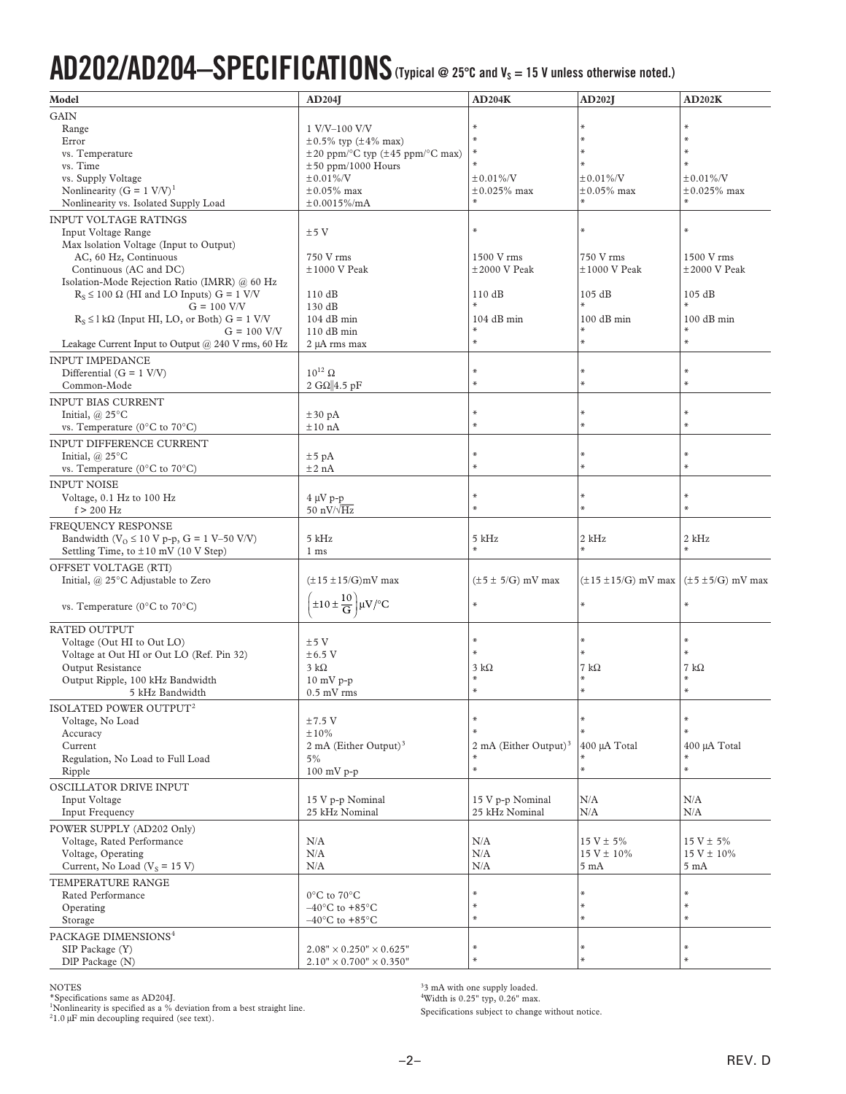# AD202/AD204-SPECIFICATIONS (Typical @ 25°C and V<sub>s</sub> = 15 V unless otherwise noted.)

| Model                                                    | AD204                                                                            | AD204K                                 | <b>AD202J</b>              | AD202K                   |
|----------------------------------------------------------|----------------------------------------------------------------------------------|----------------------------------------|----------------------------|--------------------------|
| <b>GAIN</b>                                              |                                                                                  |                                        |                            |                          |
| Range                                                    | 1 V/V-100 V/V                                                                    | $\ast$                                 |                            | $\ast$                   |
| Error                                                    | $\pm 0.5\%$ typ ( $\pm 4\%$ max)                                                 | $\ast$                                 | $\ast$                     | $\ast$                   |
| vs. Temperature                                          | $\pm 20$ ppm/ $\mathrm{^{\circ}C}$ typ ( $\pm 45$ ppm/ $\mathrm{^{\circ}C}$ max) | ∗                                      | $\ast$                     | $\ast$                   |
| vs. Time                                                 | $\pm 50$ ppm/1000 Hours                                                          | $\ast$                                 | $*$                        | $*$                      |
| vs. Supply Voltage                                       | $±0.01\%$ /V                                                                     | $±0.01\%$ /V                           | $±0.01\%$ /V               | $±0.01\%$ /V             |
| Nonlinearity ( $G = 1$ V/V) <sup>1</sup>                 | $\pm 0.05\%$ max                                                                 | $\pm 0.025\%$ max                      | $\pm 0.05\%$ max           | $\pm 0.025\%$ max        |
| Nonlinearity vs. Isolated Supply Load                    | $\pm 0.0015\%$ /mA                                                               | $\ast$                                 |                            | $\ast$                   |
| <b>INPUT VOLTAGE RATINGS</b>                             |                                                                                  |                                        |                            |                          |
| Input Voltage Range                                      | ±5V                                                                              | $\ast$                                 | $*$                        | $\ast$                   |
| Max Isolation Voltage (Input to Output)                  |                                                                                  |                                        |                            |                          |
| AC, 60 Hz, Continuous                                    | 750 V rms                                                                        | 1500 V rms                             | 750 V rms                  | 1500 V rms               |
| Continuous (AC and DC)                                   | $±1000$ V Peak                                                                   | $\pm 2000$ V Peak                      | $±1000$ V Peak             | $±2000$ V Peak           |
| Isolation-Mode Rejection Ratio (IMRR) @ 60 Hz            |                                                                                  |                                        |                            |                          |
| $R_S \le 100 \Omega$ (HI and LO Inputs) G = 1 V/V        | 110dB                                                                            | 110dB                                  | 105 dB                     | 105 dB                   |
| $G = 100$ V/V                                            | 130 dB                                                                           | $\ast$                                 | $\ast$                     | $*$                      |
| $R_S \leq 1 k\Omega$ (Input HI, LO, or Both) G = 1 V/V   | $104$ dB min                                                                     | 104 dB min                             | $100$ dB min               | $100$ dB min             |
| $G = 100$ V/V                                            | $110$ dB min                                                                     | $\ast$                                 |                            | $\ast$                   |
| Leakage Current Input to Output @ 240 V rms, 60 Hz       | 2 µA rms max                                                                     | $\ast$                                 | $\ast$                     | $\ast$                   |
| <b>INPUT IMPEDANCE</b>                                   |                                                                                  |                                        |                            |                          |
| Differential $(G = 1 \text{ V/V})$                       | $10^{12}$ $\Omega$                                                               | ∗                                      | $\ast$                     | $\ast$                   |
| Common-Mode                                              | 2 G $\Omega$ 4.5 pF                                                              | $\ast$                                 |                            | $\ast$                   |
| <b>INPUT BIAS CURRENT</b>                                |                                                                                  |                                        |                            |                          |
| Initial, $(a)$ 25 $\mathrm{^{\circ}C}$                   | $\pm 30$ pA                                                                      | $\ast$                                 | ⋇                          | $\ast$                   |
| vs. Temperature ( $0^{\circ}$ C to $70^{\circ}$ C)       | ±10 nA                                                                           | ⋇                                      | $\ast$                     | $\ast$                   |
|                                                          |                                                                                  |                                        |                            |                          |
| INPUT DIFFERENCE CURRENT                                 |                                                                                  | ⋇                                      | ⋇                          | $\ast$                   |
| Initial, $(a)$ 25 $\mathrm{^{\circ}C}$                   | $\pm 5$ pA                                                                       | $\ast$                                 | $\ast$                     | $\ast$                   |
| vs. Temperature (0°C to 70°C)                            | ±2 nA                                                                            |                                        |                            |                          |
| <b>INPUT NOISE</b>                                       |                                                                                  |                                        |                            |                          |
| Voltage, 0.1 Hz to 100 Hz                                | $4 \mu V$ p-p                                                                    | $\ast$                                 | ₩                          | $\ast$                   |
| $f > 200$ Hz                                             | 50 nV/ $\sqrt{Hz}$                                                               | $\ast$                                 | $\ast$                     | $\ast$                   |
| FREQUENCY RESPONSE                                       |                                                                                  |                                        |                            |                          |
| Bandwidth ( $V$ <sub>O</sub> ≤ 10 V p-p, G = 1 V–50 V/V) | 5 kHz                                                                            | 5 kHz                                  | 2 kHz                      | 2 kHz                    |
| Settling Time, to ±10 mV (10 V Step)                     | 1 <sub>ms</sub>                                                                  | $\ast$                                 | $\ast$                     | $\ast$                   |
| OFFSET VOLTAGE (RTI)                                     |                                                                                  |                                        |                            |                          |
| Initial, @ 25°C Adjustable to Zero                       | $(\pm 15 \pm 15/G)$ mV max                                                       | $(\pm 5 \pm 5/G)$ mV max               | $(\pm 15 \pm 15/G)$ mV max | $(\pm 5 \pm 5/G)$ mV max |
|                                                          |                                                                                  |                                        |                            |                          |
| vs. Temperature ( $0^{\circ}$ C to $70^{\circ}$ C)       | $\pm 10 \pm \frac{10}{G}$ $\mu$ V/°C                                             | $\ast$                                 | $\ast$                     | $\ast$                   |
|                                                          |                                                                                  |                                        |                            |                          |
| <b>RATED OUTPUT</b>                                      |                                                                                  | ⋇                                      | $*$                        | $\ast$                   |
| Voltage (Out HI to Out LO)                               | ±5V                                                                              | $\ast$                                 | $*$                        | $\ast$                   |
| Voltage at Out HI or Out LO (Ref. Pin 32)                | $\pm 6.5$ V                                                                      |                                        |                            |                          |
| Output Resistance                                        | $3 k\Omega$                                                                      | 3 kΩ<br>$*$                            | 7 k $\Omega$<br>$*$        | 7 k $\Omega$<br>$*$      |
| Output Ripple, 100 kHz Bandwidth                         | $10 \text{ mV}$ p-p                                                              | $\ast$                                 |                            | $\ast$                   |
| 5 kHz Bandwidth                                          | $0.5$ mV rms                                                                     |                                        |                            |                          |
| ISOLATED POWER OUTPUT <sup>2</sup>                       |                                                                                  |                                        |                            |                          |
| Voltage, No Load                                         | $±7.5$ V                                                                         | $\ast$<br>$\ast$                       | $\ast$<br>$\ast$           | $\ast$<br>$\ast$         |
| Accuracy                                                 | ±10%                                                                             |                                        |                            |                          |
| Current                                                  | 2 mA (Either Output) <sup>3</sup>                                                | 2 mA (Either Output) <sup>3</sup><br>∗ | 400 µA Total               | 400 µA Total             |
| Regulation, No Load to Full Load                         | 5%                                                                               | $\ast$                                 | $\ast$                     | $\ast$<br>$\ast$         |
| Ripple                                                   | $100$ mV p-p                                                                     |                                        |                            |                          |
| OSCILLATOR DRIVE INPUT                                   |                                                                                  |                                        |                            |                          |
| Input Voltage                                            | 15 V p-p Nominal                                                                 | 15 V p-p Nominal                       | N/A                        | N/A                      |
| Input Frequency                                          | 25 kHz Nominal                                                                   | 25 kHz Nominal                         | N/A                        | N/A                      |
| POWER SUPPLY (AD202 Only)                                |                                                                                  |                                        |                            |                          |
| Voltage, Rated Performance                               | N/A                                                                              | N/A                                    | $15 V \pm 5%$              | $15 V \pm 5\%$           |
| Voltage, Operating                                       | N/A                                                                              | N/A                                    | $15 V \pm 10\%$            | $15 V \pm 10\%$          |
| Current, No Load ( $V_s$ = 15 V)                         | N/A                                                                              | N/A                                    | $5 \text{ mA}$             | $5 \text{ mA}$           |
| TEMPERATURE RANGE                                        |                                                                                  |                                        |                            |                          |
| Rated Performance                                        | $0^{\circ}$ C to $70^{\circ}$ C                                                  | $\ast$                                 | ⋇                          | $\ast$                   |
| Operating                                                | $-40^{\circ}$ C to +85 $^{\circ}$ C                                              | ∗                                      | $\ast$                     | $\ast$                   |
| Storage                                                  | $-40^{\circ}$ C to +85 $^{\circ}$ C                                              | $\ast$                                 | $\ast$                     | $\ast$                   |
| PACKAGE DIMENSIONS <sup>4</sup>                          |                                                                                  |                                        |                            |                          |
| SIP Package (Y)                                          | $2.08" \times 0.250" \times 0.625"$                                              | $\ast$                                 | ₩                          | $\ast$                   |
| DlP Package (N)                                          | $2.10" \times 0.700" \times 0.350"$                                              | $\ast$                                 | $\ast$                     | $\ast$                   |
|                                                          |                                                                                  |                                        |                            |                          |

NOTES \*Specifications same as AD204J. 1 Nonlinearity is specified as a % deviation from a best straight line. 2 1.0 mF min decoupling required (see text).

 $33 \text{ mA}$  with one supply loaded.<br>
"Width is  $0.25$ " typ,  $0.26$ " max.

Specifications subject to change without notice.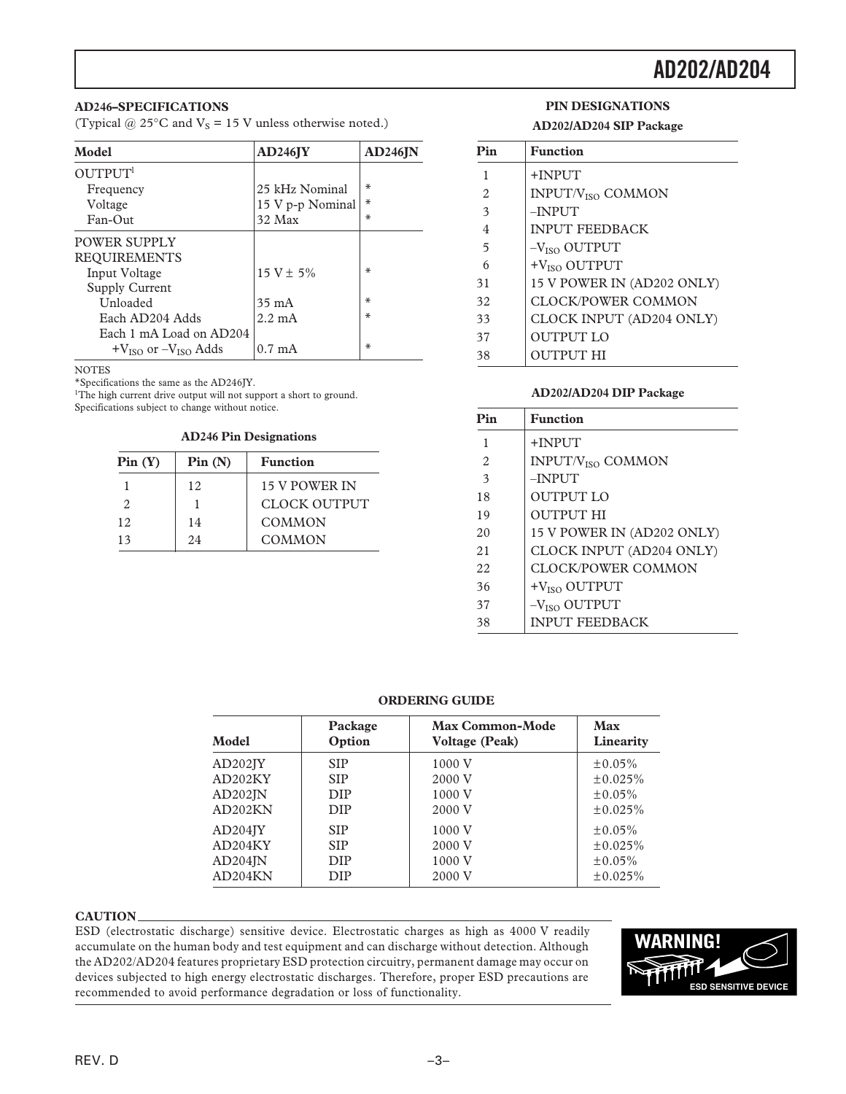### **AD246–SPECIFICATIONS**

(Typical @ 25 $\textdegree$ C and V<sub>S</sub> = 15 V unless otherwise noted.)

| Model                         | AD246JY          | AD246JN |
|-------------------------------|------------------|---------|
| OUTPUT <sup>1</sup>           |                  |         |
| Frequency                     | 25 kHz Nominal   | ₩       |
| Voltage                       | 15 V p-p Nominal | $\ast$  |
| $Fan-O$ ut                    | 32 Max           | ₩       |
| POWER SUPPLY                  |                  |         |
| <b>REQUIREMENTS</b>           |                  |         |
| Input Voltage                 | $15 V \pm 5\%$   | ₩       |
| <b>Supply Current</b>         |                  |         |
| Unloaded                      | $35 \text{ mA}$  | ∗       |
| Each AD204 Adds               | $2.2 \text{ mA}$ | ∗       |
| Each 1 mA Load on AD204       |                  |         |
| $+V_{ISO}$ or $-V_{ISO}$ Adds | $0.7 \text{ mA}$ | ₩       |

**NOTES** 

\*Specifications the same as the AD246JY.

<sup>1</sup>The high current drive output will not support a short to ground. Specifications subject to change without notice.

#### **AD246 Pin Designations**

| Pin(Y) | Pin(N) | <b>Function</b>     |
|--------|--------|---------------------|
|        | 12     | 15 V POWER IN       |
|        |        | <b>CLOCK OUTPUT</b> |
| 12.    | 14     | <b>COMMON</b>       |
| 13     | 2.4    | <b>COMMON</b>       |

### **PIN DESIGNATIONS AD202/AD204 SIP Package**

| Pin | <b>Function</b>               |
|-----|-------------------------------|
| 1   | $+$ INPUT                     |
| 2   | INPUT/V <sub>ISO</sub> COMMON |
| 3   | $-INP$ UT                     |
| 4   | <b>INPUT FEEDBACK</b>         |
| 5   | $-VISO$ OUTPUT                |
| 6   | +V <sub>ISO</sub> OUTPUT      |
| 31  | 15 V POWER IN (AD202 ONLY)    |
| 32  | <b>CLOCK/POWER COMMON</b>     |
| 33  | CLOCK INPUT (AD204 ONLY)      |
| 37  | <b>OUTPUT LO</b>              |
| 38  | <b>OUTPUT HI</b>              |

### **AD202/AD204 DIP Package**

| Pin            | <b>Function</b>                     |
|----------------|-------------------------------------|
| 1              | $+$ INPUT                           |
| $\mathfrak{D}$ | <b>INPUT/V<sub>ISO</sub> COMMON</b> |
| 3              | $-$ INPUT                           |
| 18             | <b>OUTPUT LO</b>                    |
| 19             | <b>OUTPUT HI</b>                    |
| 20             | 15 V POWER IN (AD202 ONLY)          |
| 21             | CLOCK INPUT (AD204 ONLY)            |
| 22             | CLOCK/POWER COMMON                  |
| 36             | $+VISO$ OUTPUT                      |
| 37             | $-VISO$ OUTPUT                      |
| 38             | <b>INPUT FEEDBACK</b>               |

#### **ORDERING GUIDE**

| Model                | Package    | <b>Max Common-Mode</b> | Max           |
|----------------------|------------|------------------------|---------------|
|                      | Option     | <b>Voltage (Peak)</b>  | Linearity     |
| AD202 <sub>IV</sub>  | <b>SIP</b> | 1000 V                 | $\pm 0.05\%$  |
| AD <sub>202</sub> KY | <b>SIP</b> | 2000 V                 | ±0.025%       |
| AD202IN              | <b>DIP</b> | 1000 V                 | $\pm 0.05\%$  |
| AD202KN              | <b>DIP</b> | 2000 V                 | $\pm 0.025\%$ |
| AD204 <sub>IV</sub>  | <b>SIP</b> | 1000 V                 | $\pm 0.05\%$  |
| AD204KY              | <b>SIP</b> | 2000 V                 | $\pm 0.025\%$ |
| $AD204$ $\mathbb{N}$ | <b>DIP</b> | 1000 V                 | $\pm 0.05\%$  |
| AD204KN              | <b>DIP</b> | 2000 V                 | ±0.025%       |

#### **CAUTION**

ESD (electrostatic discharge) sensitive device. Electrostatic charges as high as 4000 V readily accumulate on the human body and test equipment and can discharge without detection. Although the AD202/AD204 features proprietary ESD protection circuitry, permanent damage may occur on devices subjected to high energy electrostatic discharges. Therefore, proper ESD precautions are recommended to avoid performance degradation or loss of functionality.

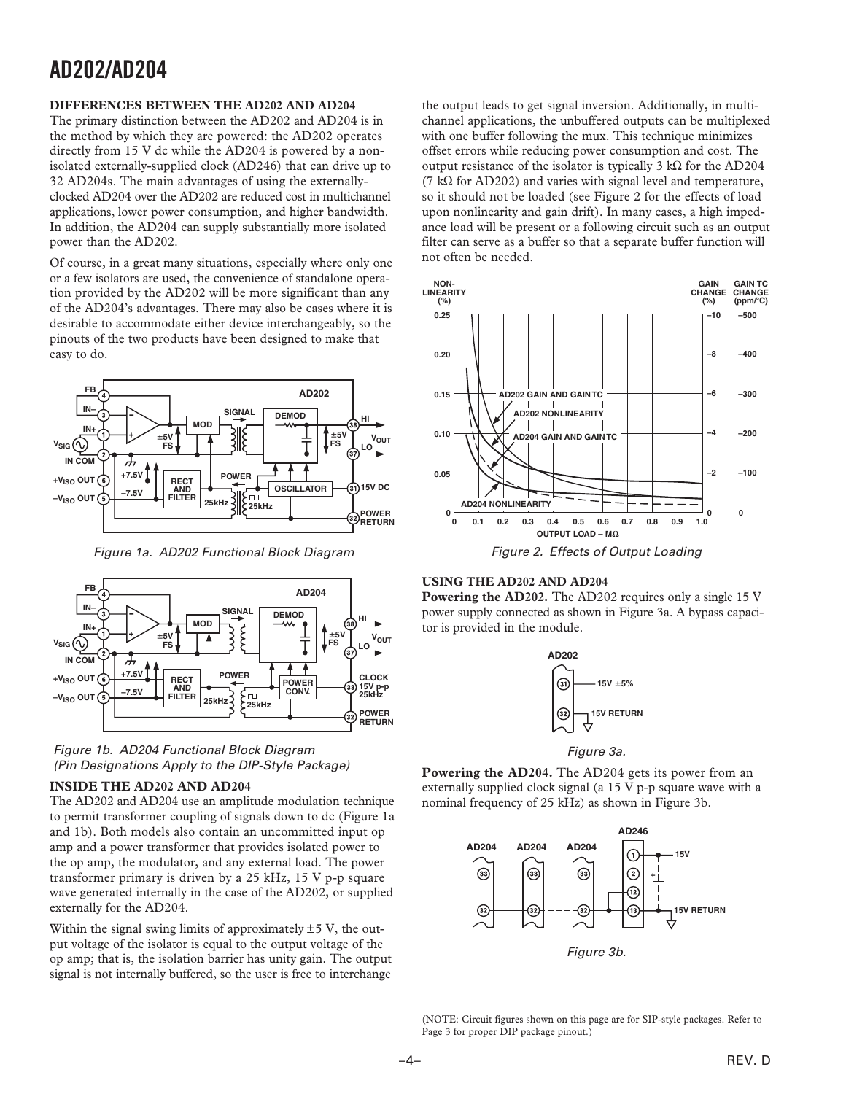### **DIFFERENCES BETWEEN THE AD202 AND AD204**

The primary distinction between the AD202 and AD204 is in the method by which they are powered: the AD202 operates directly from 15 V dc while the AD204 is powered by a nonisolated externally-supplied clock (AD246) that can drive up to 32 AD204s. The main advantages of using the externallyclocked AD204 over the AD202 are reduced cost in multichannel applications, lower power consumption, and higher bandwidth. In addition, the AD204 can supply substantially more isolated power than the AD202.

Of course, in a great many situations, especially where only one or a few isolators are used, the convenience of standalone operation provided by the AD202 will be more significant than any of the AD204's advantages. There may also be cases where it is desirable to accommodate either device interchangeably, so the pinouts of the two products have been designed to make that easy to do.



Figure 1a. AD202 Functional Block Diagram





### **INSIDE THE AD202 AND AD204**

The AD202 and AD204 use an amplitude modulation technique to permit transformer coupling of signals down to dc (Figure 1a and 1b). Both models also contain an uncommitted input op amp and a power transformer that provides isolated power to the op amp, the modulator, and any external load. The power transformer primary is driven by a 25 kHz, 15 V p-p square wave generated internally in the case of the AD202, or supplied externally for the AD204.

Within the signal swing limits of approximately  $\pm$  5 V, the output voltage of the isolator is equal to the output voltage of the op amp; that is, the isolation barrier has unity gain. The output signal is not internally buffered, so the user is free to interchange

the output leads to get signal inversion. Additionally, in multichannel applications, the unbuffered outputs can be multiplexed with one buffer following the mux. This technique minimizes offset errors while reducing power consumption and cost. The output resistance of the isolator is typically 3 kΩ for the AD204 (7 k $\Omega$  for AD202) and varies with signal level and temperature, so it should not be loaded (see Figure 2 for the effects of load upon nonlinearity and gain drift). In many cases, a high impedance load will be present or a following circuit such as an output filter can serve as a buffer so that a separate buffer function will not often be needed.



### **USING THE AD202 AND AD204**

**Powering the AD202.** The AD202 requires only a single 15 V power supply connected as shown in Figure 3a. A bypass capacitor is provided in the module.



Figure 3a.

**Powering the AD204.** The AD204 gets its power from an externally supplied clock signal (a 15 V p-p square wave with a nominal frequency of 25 kHz) as shown in Figure 3b.



Figure 3b.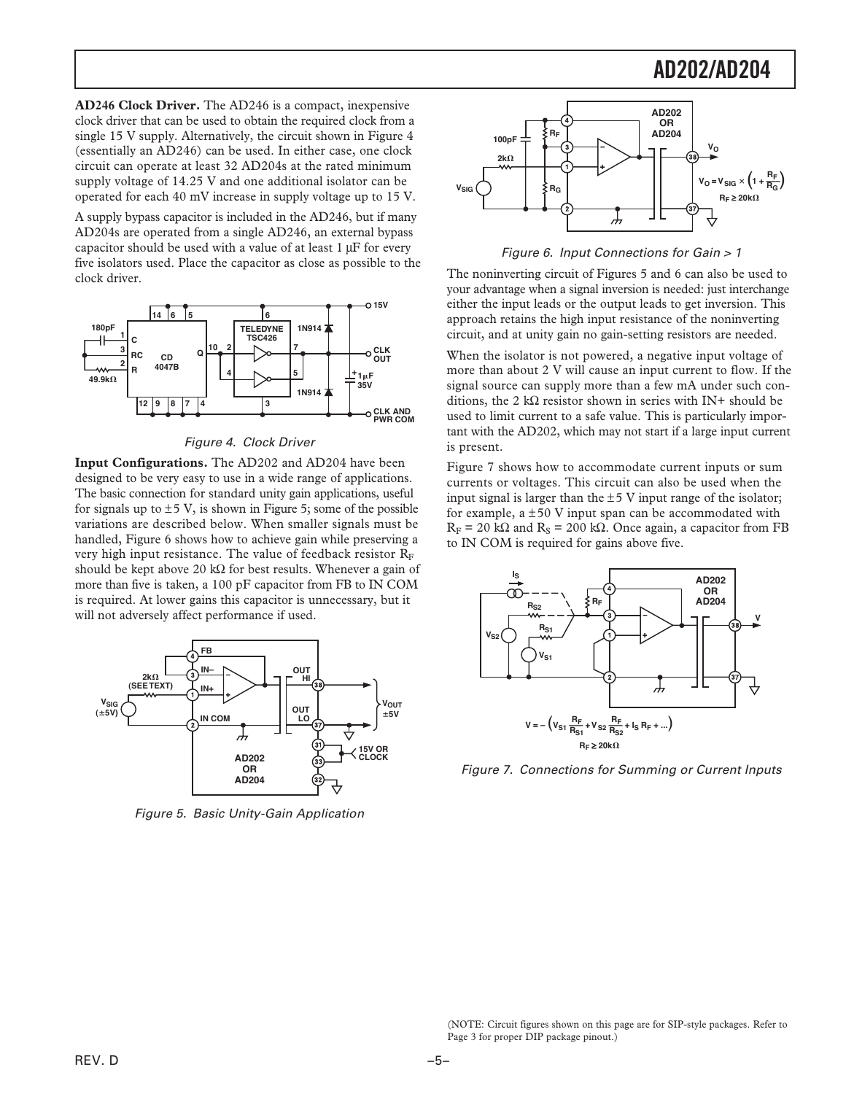**AD246 Clock Driver.** The AD246 is a compact, inexpensive clock driver that can be used to obtain the required clock from a single 15 V supply. Alternatively, the circuit shown in Figure 4 (essentially an AD246) can be used. In either case, one clock circuit can operate at least 32 AD204s at the rated minimum supply voltage of 14.25 V and one additional isolator can be operated for each 40 mV increase in supply voltage up to 15 V.

A supply bypass capacitor is included in the AD246, but if many AD204s are operated from a single AD246, an external bypass capacitor should be used with a value of at least  $1 \mu$ F for every five isolators used. Place the capacitor as close as possible to the clock driver.



Figure 4. Clock Driver

**Input Configurations.** The AD202 and AD204 have been designed to be very easy to use in a wide range of applications. The basic connection for standard unity gain applications, useful for signals up to  $\pm$  5 V, is shown in Figure 5; some of the possible variations are described below. When smaller signals must be handled, Figure 6 shows how to achieve gain while preserving a very high input resistance. The value of feedback resistor  $R_F$ should be kept above 20 k $\Omega$  for best results. Whenever a gain of more than five is taken, a 100 pF capacitor from FB to IN COM is required. At lower gains this capacitor is unnecessary, but it will not adversely affect performance if used.



Figure 5. Basic Unity-Gain Application



Figure 6. Input Connections for Gain > 1

The noninverting circuit of Figures 5 and 6 can also be used to your advantage when a signal inversion is needed: just interchange either the input leads or the output leads to get inversion. This approach retains the high input resistance of the noninverting circuit, and at unity gain no gain-setting resistors are needed.

When the isolator is not powered, a negative input voltage of more than about 2 V will cause an input current to flow. If the signal source can supply more than a few mA under such conditions, the 2 k $\Omega$  resistor shown in series with IN+ should be used to limit current to a safe value. This is particularly important with the AD202, which may not start if a large input current is present.

Figure 7 shows how to accommodate current inputs or sum currents or voltages. This circuit can also be used when the input signal is larger than the  $\pm$  5 V input range of the isolator; for example,  $a \pm 50$  V input span can be accommodated with  $R_F = 20$  k $\Omega$  and  $R_S = 200$  k $\Omega$ . Once again, a capacitor from FB to IN COM is required for gains above five.



Figure 7. Connections for Summing or Current Inputs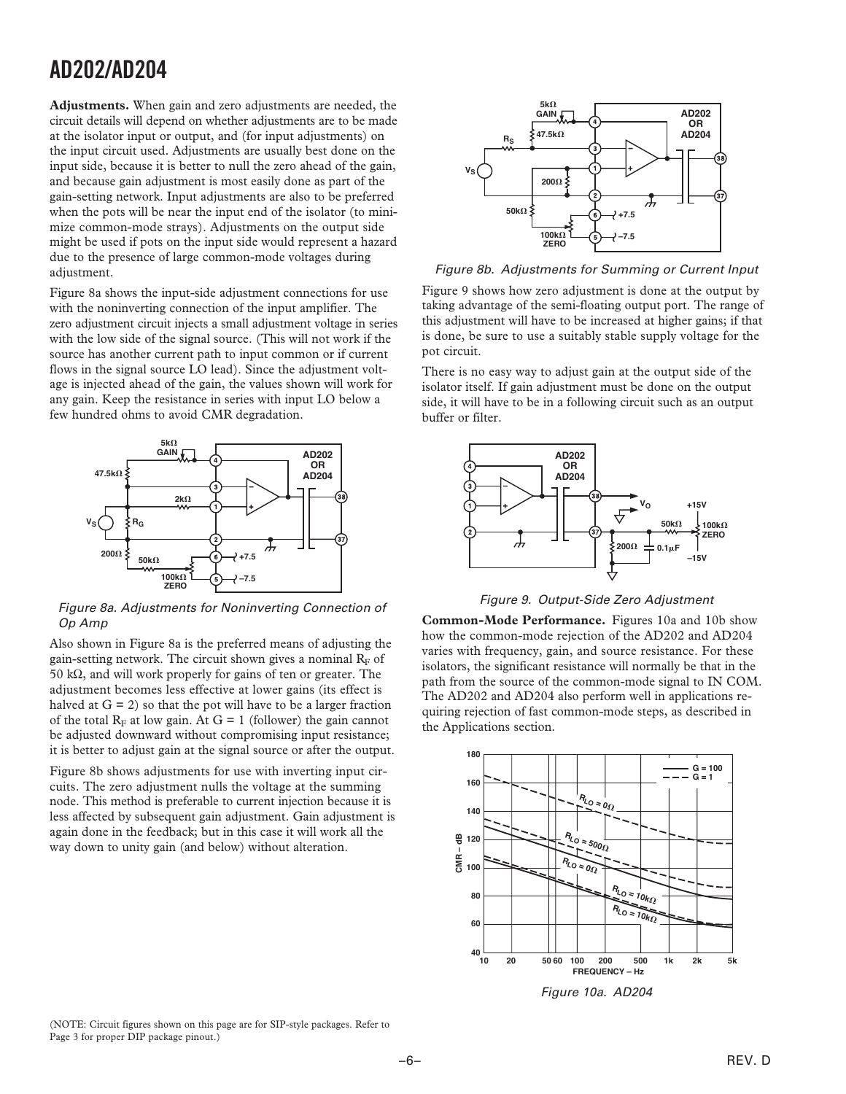**Adjustments.** When gain and zero adjustments are needed, the circuit details will depend on whether adjustments are to be made at the isolator input or output, and (for input adjustments) on the input circuit used. Adjustments are usually best done on the input side, because it is better to null the zero ahead of the gain, and because gain adjustment is most easily done as part of the gain-setting network. Input adjustments are also to be preferred when the pots will be near the input end of the isolator (to minimize common-mode strays). Adjustments on the output side might be used if pots on the input side would represent a hazard due to the presence of large common-mode voltages during adjustment.

Figure 8a shows the input-side adjustment connections for use with the noninverting connection of the input amplifier. The zero adjustment circuit injects a small adjustment voltage in series with the low side of the signal source. (This will not work if the source has another current path to input common or if current flows in the signal source LO lead). Since the adjustment voltage is injected ahead of the gain, the values shown will work for any gain. Keep the resistance in series with input LO below a few hundred ohms to avoid CMR degradation.



Figure 8a. Adjustments for Noninverting Connection of Op Amp

Also shown in Figure 8a is the preferred means of adjusting the gain-setting network. The circuit shown gives a nominal  $R_F$  of 50 k $\Omega$ , and will work properly for gains of ten or greater. The adjustment becomes less effective at lower gains (its effect is halved at  $G = 2$ ) so that the pot will have to be a larger fraction of the total  $R_F$  at low gain. At  $G = 1$  (follower) the gain cannot be adjusted downward without compromising input resistance; it is better to adjust gain at the signal source or after the output.

Figure 8b shows adjustments for use with inverting input circuits. The zero adjustment nulls the voltage at the summing node. This method is preferable to current injection because it is less affected by subsequent gain adjustment. Gain adjustment is again done in the feedback; but in this case it will work all the way down to unity gain (and below) without alteration.



Figure 8b. Adjustments for Summing or Current Input

Figure 9 shows how zero adjustment is done at the output by taking advantage of the semi-floating output port. The range of this adjustment will have to be increased at higher gains; if that is done, be sure to use a suitably stable supply voltage for the pot circuit.

There is no easy way to adjust gain at the output side of the isolator itself. If gain adjustment must be done on the output side, it will have to be in a following circuit such as an output buffer or filter.



Figure 9. Output-Side Zero Adjustment

**Common-Mode Performance.** Figures 10a and 10b show how the common-mode rejection of the AD202 and AD204 varies with frequency, gain, and source resistance. For these isolators, the significant resistance will normally be that in the path from the source of the common-mode signal to IN COM. The AD202 and AD204 also perform well in applications requiring rejection of fast common-mode steps, as described in the Applications section.



Figure 10a. AD204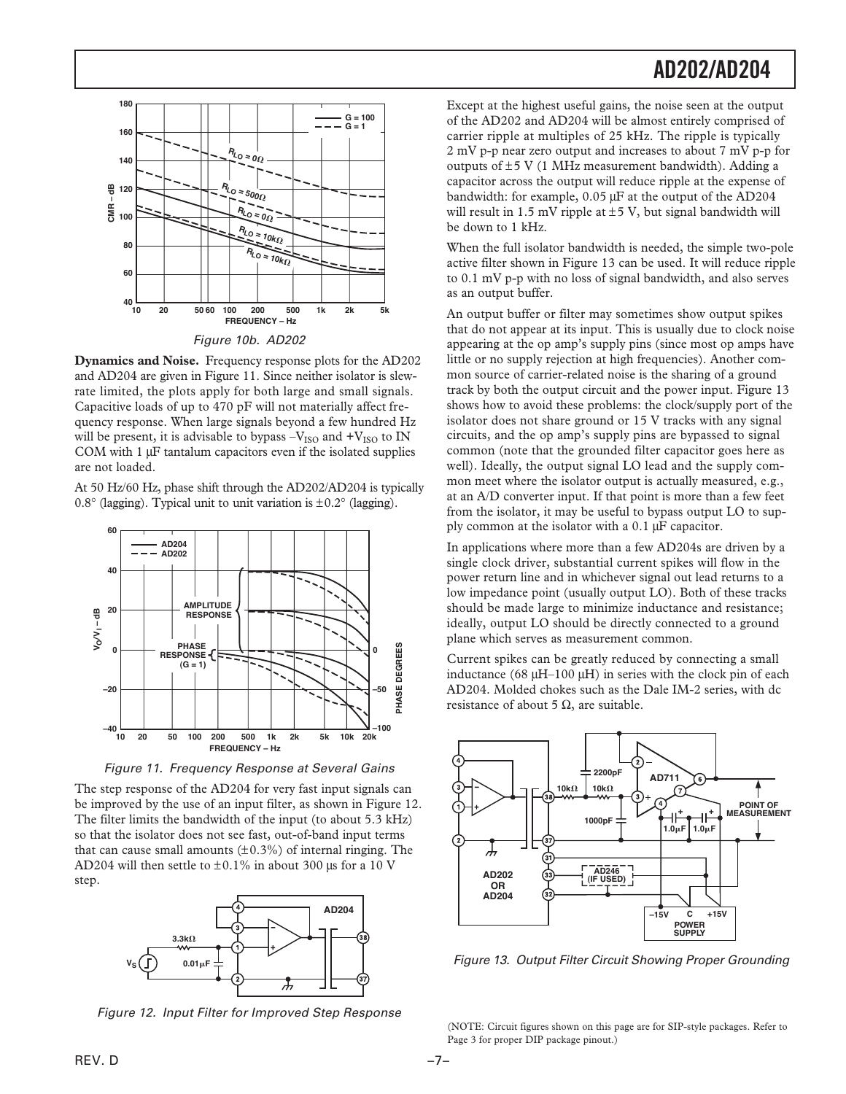

**Dynamics and Noise.** Frequency response plots for the AD202 and AD204 are given in Figure 11. Since neither isolator is slewrate limited, the plots apply for both large and small signals. Capacitive loads of up to 470 pF will not materially affect frequency response. When large signals beyond a few hundred Hz will be present, it is advisable to bypass  $-V_{ISO}$  and  $+V_{ISO}$  to IN COM with 1  $\mu$ F tantalum capacitors even if the isolated supplies are not loaded.

At 50 Hz/60 Hz, phase shift through the AD202/AD204 is typically 0.8 $\degree$  (lagging). Typical unit to unit variation is  $\pm 0.2\degree$  (lagging).



Figure 11. Frequency Response at Several Gains

The step response of the AD204 for very fast input signals can be improved by the use of an input filter, as shown in Figure 12. The filter limits the bandwidth of the input (to about 5.3 kHz) so that the isolator does not see fast, out-of-band input terms that can cause small amounts  $(\pm 0.3\%)$  of internal ringing. The AD204 will then settle to  $\pm 0.1\%$  in about 300 µs for a 10 V step.



Figure 12. Input Filter for Improved Step Response

Except at the highest useful gains, the noise seen at the output of the AD202 and AD204 will be almost entirely comprised of carrier ripple at multiples of 25 kHz. The ripple is typically 2 mV p-p near zero output and increases to about 7 mV p-p for outputs of  $\pm$ 5 V (1 MHz measurement bandwidth). Adding a capacitor across the output will reduce ripple at the expense of bandwidth: for example,  $0.05 \mu$ F at the output of the AD204 will result in 1.5 mV ripple at  $\pm$  5 V, but signal bandwidth will be down to 1 kHz.

When the full isolator bandwidth is needed, the simple two-pole active filter shown in Figure 13 can be used. It will reduce ripple to 0.1 mV p-p with no loss of signal bandwidth, and also serves as an output buffer.

An output buffer or filter may sometimes show output spikes that do not appear at its input. This is usually due to clock noise appearing at the op amp's supply pins (since most op amps have little or no supply rejection at high frequencies). Another common source of carrier-related noise is the sharing of a ground track by both the output circuit and the power input. Figure 13 shows how to avoid these problems: the clock/supply port of the isolator does not share ground or 15 V tracks with any signal circuits, and the op amp's supply pins are bypassed to signal common (note that the grounded filter capacitor goes here as well). Ideally, the output signal LO lead and the supply common meet where the isolator output is actually measured, e.g., at an A/D converter input. If that point is more than a few feet from the isolator, it may be useful to bypass output LO to supply common at the isolator with a  $0.1 \mu$ F capacitor.

In applications where more than a few AD204s are driven by a single clock driver, substantial current spikes will flow in the power return line and in whichever signal out lead returns to a low impedance point (usually output LO). Both of these tracks should be made large to minimize inductance and resistance; ideally, output LO should be directly connected to a ground plane which serves as measurement common.

Current spikes can be greatly reduced by connecting a small inductance (68  $\mu$ H–100  $\mu$ H) in series with the clock pin of each AD204. Molded chokes such as the Dale IM-2 series, with dc resistance of about 5  $\Omega$ , are suitable.



Figure 13. Output Filter Circuit Showing Proper Grounding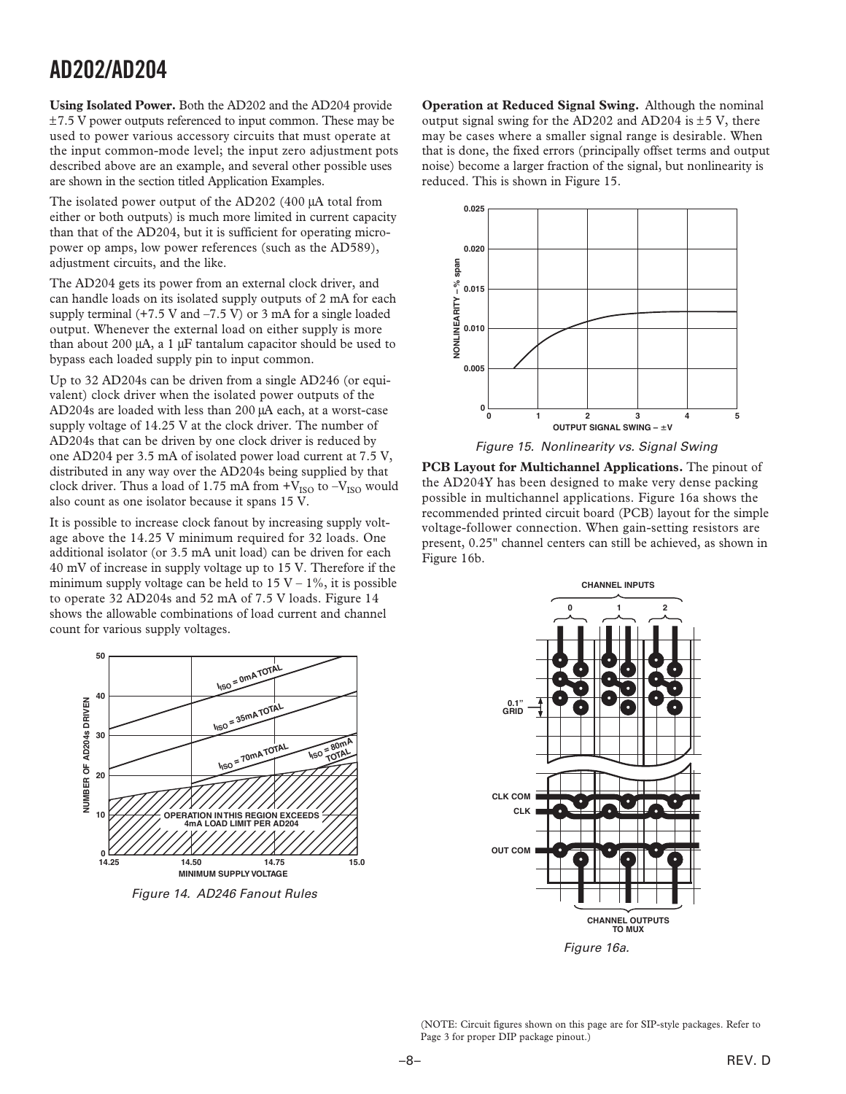**Using Isolated Power.** Both the AD202 and the AD204 provide  $\pm$ 7.5 V power outputs referenced to input common. These may be used to power various accessory circuits that must operate at the input common-mode level; the input zero adjustment pots described above are an example, and several other possible uses are shown in the section titled Application Examples.

The isolated power output of the AD202 (400 µA total from either or both outputs) is much more limited in current capacity than that of the AD204, but it is sufficient for operating micropower op amps, low power references (such as the AD589), adjustment circuits, and the like.

The AD204 gets its power from an external clock driver, and can handle loads on its isolated supply outputs of 2 mA for each supply terminal  $(+7.5 \text{ V}$  and  $-7.5 \text{ V})$  or 3 mA for a single loaded output. Whenever the external load on either supply is more than about 200  $\mu$ A, a 1  $\mu$ F tantalum capacitor should be used to bypass each loaded supply pin to input common.

Up to 32 AD204s can be driven from a single AD246 (or equivalent) clock driver when the isolated power outputs of the AD204s are loaded with less than 200 µA each, at a worst-case supply voltage of 14.25 V at the clock driver. The number of AD204s that can be driven by one clock driver is reduced by one AD204 per 3.5 mA of isolated power load current at 7.5 V, distributed in any way over the AD204s being supplied by that clock driver. Thus a load of 1.75 mA from  $+V_{ISO}$  to  $-V_{ISO}$  would also count as one isolator because it spans 15 V.

It is possible to increase clock fanout by increasing supply voltage above the 14.25 V minimum required for 32 loads. One additional isolator (or 3.5 mA unit load) can be driven for each 40 mV of increase in supply voltage up to 15 V. Therefore if the minimum supply voltage can be held to  $15 V - 1\%$ , it is possible to operate 32 AD204s and 52 mA of 7.5 V loads. Figure 14 shows the allowable combinations of load current and channel count for various supply voltages.

50 **NUMBER OF AD204s DRIVEN 50 ISO = 0mA TOTAL I40 NUMBER OF AD204s DRIVEN ISO = 35mA TOTAL I30 ISO** = 80mA **ISO = 70mA TOTAL TOTAL II20 OPERATION IN THIS REGION EXCEEDS 10 4mA LOAD LIMIT PER AD20 14.25 0 15.0 14.50 14.75**

Figure 14. AD246 Fanout Rules

**MINIMUM SUPPLY VOLTAGE**

**Operation at Reduced Signal Swing.** Although the nominal output signal swing for the AD202 and AD204 is  $\pm$  5 V, there may be cases where a smaller signal range is desirable. When that is done, the fixed errors (principally offset terms and output noise) become a larger fraction of the signal, but nonlinearity is reduced. This is shown in Figure 15.



Figure 15. Nonlinearity vs. Signal Swing

**PCB Layout for Multichannel Applications.** The pinout of the AD204Y has been designed to make very dense packing possible in multichannel applications. Figure 16a shows the recommended printed circuit board (PCB) layout for the simple voltage-follower connection. When gain-setting resistors are present, 0.25" channel centers can still be achieved, as shown in Figure 16b.



(NOTE: Circuit figures shown on this page are for SIP-style packages. Refer to Page 3 for proper DIP package pinout.)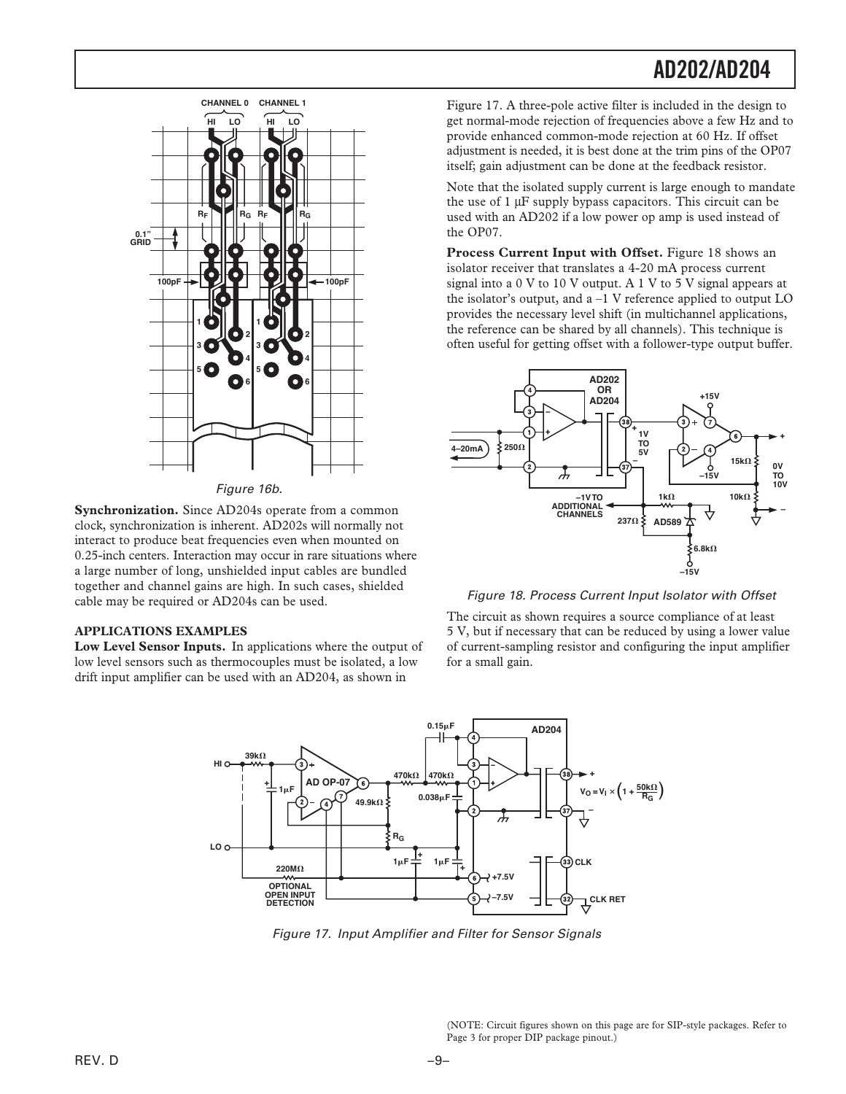

Figure 16b.

**Synchronization.** Since AD204s operate from a common clock, synchronization is inherent. AD202s will normally not interact to produce beat frequencies even when mounted on 0.25-inch centers. Interaction may occur in rare situations where a large number of long, unshielded input cables are bundled together and channel gains are high. In such cases, shielded cable may be required or AD204s can be used.

### **APPLICATIONS EXAMPLES**

**Low Level Sensor Inputs.** In applications where the output of low level sensors such as thermocouples must be isolated, a low drift input amplifier can be used with an AD204, as shown in

Figure 17. A three-pole active filter is included in the design to get normal-mode rejection of frequencies above a few Hz and to provide enhanced common-mode rejection at 60 Hz. If offset adjustment is needed, it is best done at the trim pins of the OP07 itself; gain adjustment can be done at the feedback resistor.

Note that the isolated supply current is large enough to mandate the use of  $1 \mu$ F supply bypass capacitors. This circuit can be used with an AD202 if a low power op amp is used instead of the OP07.

Process Current Input with Offset. Figure 18 shows an isolator receiver that translates a 4-20 mA process current signal into a 0 V to 10 V output. A 1 V to 5 V signal appears at the isolator's output, and  $a -1$  V reference applied to output LO provides the necessary level shift (in multichannel applications, the reference can be shared by all channels). This technique is often useful for getting offset with a follower-type output buffer.



Figure 18. Process Current Input Isolator with Offset

The circuit as shown requires a source compliance of at least 5 V, but if necessary that can be reduced by using a lower value of current-sampling resistor and configuring the input amplifier for a small gain.



Figure 17. Input Amplifier and Filter for Sensor Signals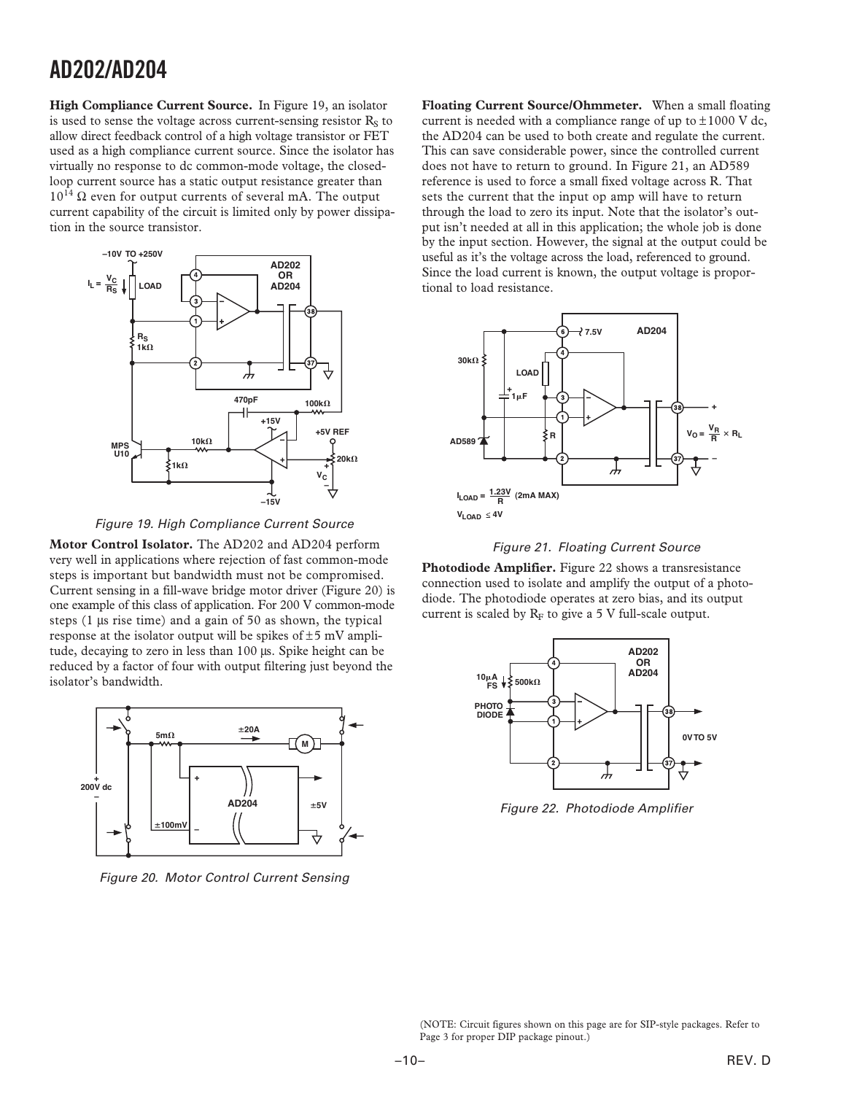**High Compliance Current Source.** In Figure 19, an isolator is used to sense the voltage across current-sensing resistor  $R<sub>s</sub>$  to allow direct feedback control of a high voltage transistor or FET used as a high compliance current source. Since the isolator has virtually no response to dc common-mode voltage, the closedloop current source has a static output resistance greater than  $10^{14}$   $\Omega$  even for output currents of several mA. The output current capability of the circuit is limited only by power dissipation in the source transistor.



Figure 19. High Compliance Current Source

**Motor Control Isolator.** The AD202 and AD204 perform very well in applications where rejection of fast common-mode steps is important but bandwidth must not be compromised. Current sensing in a fill-wave bridge motor driver (Figure 20) is one example of this class of application. For 200 V common-mode steps  $(1 \mu s$  rise time) and a gain of 50 as shown, the typical response at the isolator output will be spikes of  $\pm$ 5 mV amplitude, decaying to zero in less than 100 µs. Spike height can be reduced by a factor of four with output filtering just beyond the isolator's bandwidth.



Figure 20. Motor Control Current Sensing

**Floating Current Source/Ohmmeter.** When a small floating current is needed with a compliance range of up to  $\pm 1000$  V dc, the AD204 can be used to both create and regulate the current. This can save considerable power, since the controlled current does not have to return to ground. In Figure 21, an AD589 reference is used to force a small fixed voltage across R. That sets the current that the input op amp will have to return through the load to zero its input. Note that the isolator's output isn't needed at all in this application; the whole job is done by the input section. However, the signal at the output could be useful as it's the voltage across the load, referenced to ground. Since the load current is known, the output voltage is proportional to load resistance.



Figure 21. Floating Current Source

**Photodiode Amplifier.** Figure 22 shows a transresistance connection used to isolate and amplify the output of a photodiode. The photodiode operates at zero bias, and its output current is scaled by  $R_F$  to give a 5 V full-scale output.



Figure 22. Photodiode Amplifier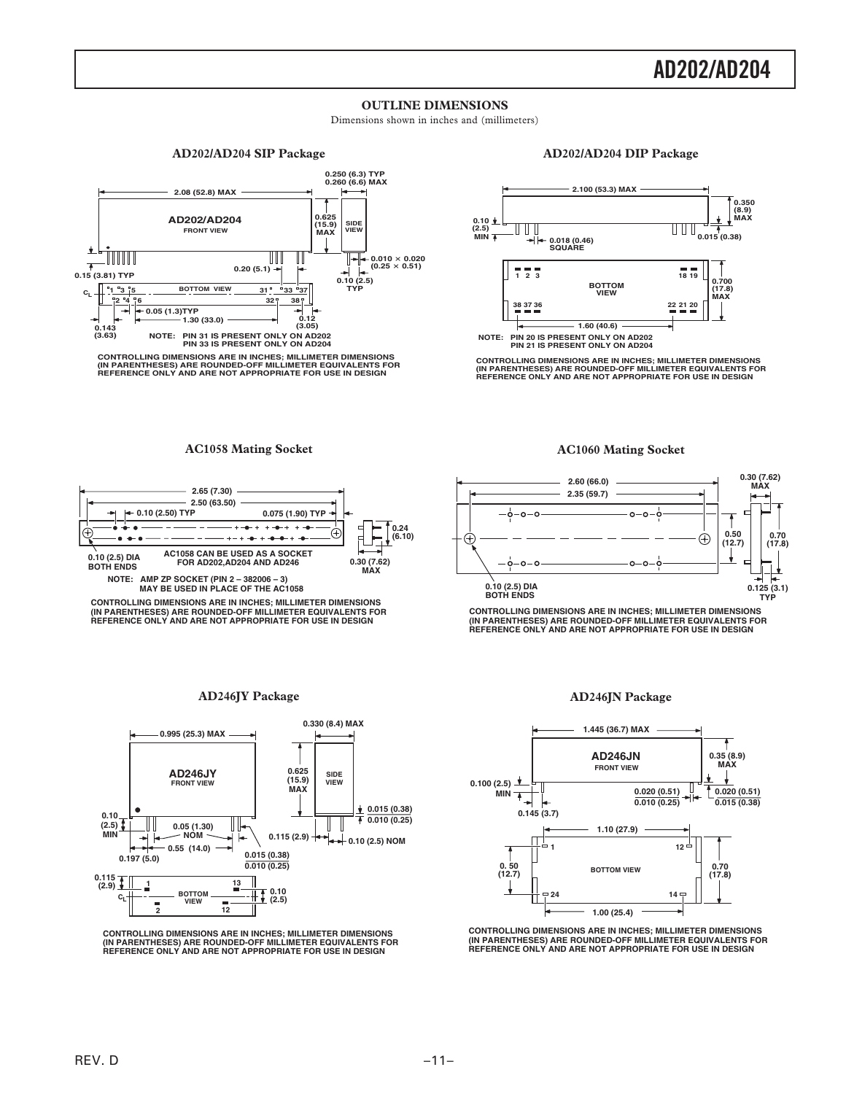### **OUTLINE DIMENSIONS**

Dimensions shown in inches and (millimeters)

#### **AD202/AD204 SIP Package**



#### **AD202/AD204 DIP Package**



CONTROLLING DIMENSIONS ARE IN INCHES; MILLIMETER DIMENSIONS<br>(IN PARENTHESES) ARE ROUNDED-OFF MILLIMETER EQUIVALENTS FOR<br>REFERENCE ONLY AND ARE NOT APPROPRIATE FOR USE IN DESIGN

#### **AC1058 Mating Socket**



**CONTROLLING DIMENSIONS ARE IN INCHES; MILLIMETER DIMENSIONS (IN PARENTHESES) ARE ROUNDED-OFF MILLIMETER EQUIVALENTS FOR REFERENCE ONLY AND ARE NOT APPROPRIATE FOR USE IN DESIGN**

#### **AD246JY Package**



**CONTROLLING DIMENSIONS ARE IN INCHES; MILLIMETER DIMENSIONS (IN PARENTHESES) ARE ROUNDED-OFF MILLIMETER EQUIVALENTS FOR REFERENCE ONLY AND ARE NOT APPROPRIATE FOR USE IN DESIGN**

#### **AC1060 Mating Socket**



**CONTROLLING DIMENSIONS ARE IN INCHES; MILLIMETER DIMENSIONS (IN PARENTHESES) ARE ROUNDED-OFF MILLIMETER EQUIVALENTS FOR REFERENCE ONLY AND ARE NOT APPROPRIATE FOR USE IN DESIGN**

#### **AD246JN Package**



**CONTROLLING DIMENSIONS ARE IN INCHES; MILLIMETER DIMENSIONS (IN PARENTHESES) ARE ROUNDED-OFF MILLIMETER EQUIVALENTS FOR REFERENCE ONLY AND ARE NOT APPROPRIATE FOR USE IN DESIGN**